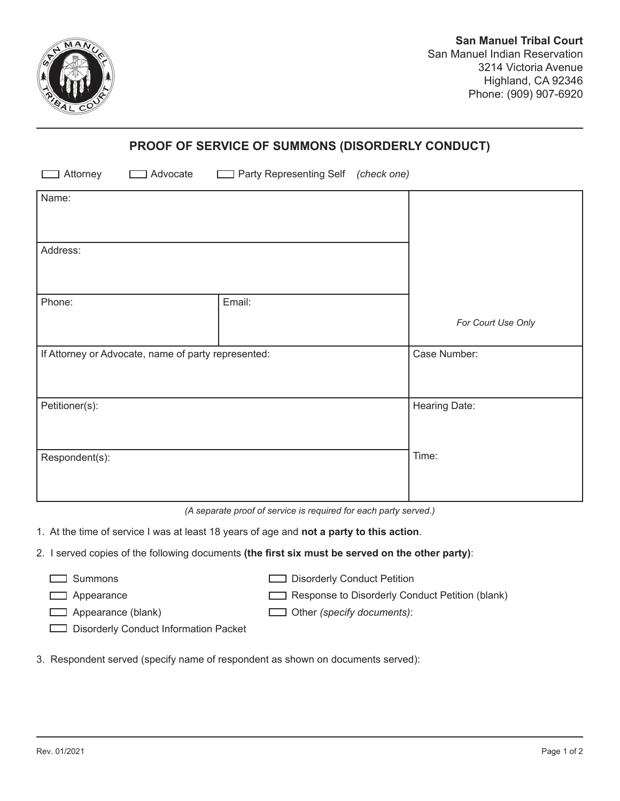

## **PROOF OF SERVICE OF SUMMONS (DISORDERLY CONDUCT)**

| Attorney<br>Advocate                                | Party Representing Self (check one) |                    |
|-----------------------------------------------------|-------------------------------------|--------------------|
| Name:                                               |                                     |                    |
| Address:                                            |                                     |                    |
| Phone:                                              | Email:                              |                    |
|                                                     |                                     | For Court Use Only |
| If Attorney or Advocate, name of party represented: |                                     | Case Number:       |
| Petitioner(s):                                      |                                     | Hearing Date:      |
| Respondent(s):                                      |                                     | Time:              |

*(A separate proof of service is required for each party served.)* 

- 1. At the time of service I was at least 18 years of age and **not a party to this action**.
- 2. I served copies of the following documents **(the first six must be served on the other party)**:
	-

□ Summons Disorderly Conduct Petition

Appearance **Response to Disorderly Conduct Petition (blank)** 

Appearance (blank) Other *(specify documents)*:

Disorderly Conduct Information Packet

3. Respondent served (specify name of respondent as shown on documents served):